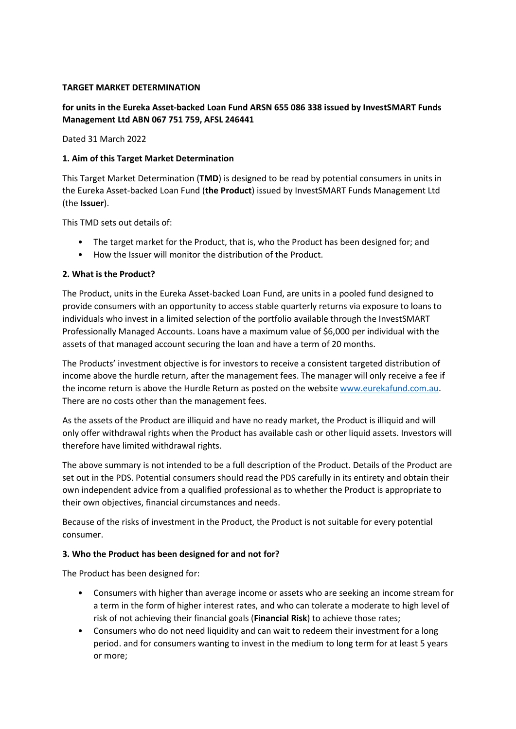## TARGET MARKET DETERMINATION

# for units in the Eureka Asset-backed Loan Fund ARSN 655 086 338 issued by InvestSMART Funds Management Ltd ABN 067 751 759, AFSL 246441

Dated 31 March 2022

### 1. Aim of this Target Market Determination

This Target Market Determination (TMD) is designed to be read by potential consumers in units in the Eureka Asset-backed Loan Fund (the Product) issued by InvestSMART Funds Management Ltd (the Issuer).

This TMD sets out details of:

- The target market for the Product, that is, who the Product has been designed for; and
- How the Issuer will monitor the distribution of the Product.

### 2. What is the Product?

The Product, units in the Eureka Asset-backed Loan Fund, are units in a pooled fund designed to provide consumers with an opportunity to access stable quarterly returns via exposure to loans to individuals who invest in a limited selection of the portfolio available through the InvestSMART Professionally Managed Accounts. Loans have a maximum value of \$6,000 per individual with the assets of that managed account securing the loan and have a term of 20 months.

The Products' investment objective is for investors to receive a consistent targeted distribution of income above the hurdle return, after the management fees. The manager will only receive a fee if the income return is above the Hurdle Return as posted on the website www.eurekafund.com.au. There are no costs other than the management fees.

As the assets of the Product are illiquid and have no ready market, the Product is illiquid and will only offer withdrawal rights when the Product has available cash or other liquid assets. Investors will therefore have limited withdrawal rights.

The above summary is not intended to be a full description of the Product. Details of the Product are set out in the PDS. Potential consumers should read the PDS carefully in its entirety and obtain their own independent advice from a qualified professional as to whether the Product is appropriate to their own objectives, financial circumstances and needs.

Because of the risks of investment in the Product, the Product is not suitable for every potential consumer.

#### 3. Who the Product has been designed for and not for?

The Product has been designed for:

- Consumers with higher than average income or assets who are seeking an income stream for a term in the form of higher interest rates, and who can tolerate a moderate to high level of risk of not achieving their financial goals (Financial Risk) to achieve those rates;
- Consumers who do not need liquidity and can wait to redeem their investment for a long period. and for consumers wanting to invest in the medium to long term for at least 5 years or more;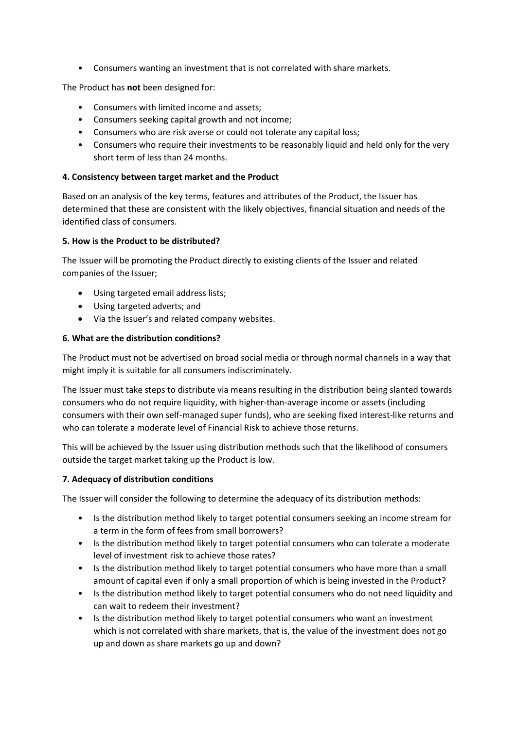• Consumers wanting an investment that is not correlated with share markets.

The Product has not been designed for:

- Consumers with limited income and assets;
- Consumers seeking capital growth and not income;
- Consumers who are risk averse or could not tolerate any capital loss;
- Consumers who require their investments to be reasonably liquid and held only for the very short term of less than 24 months.

### 4. Consistency between target market and the Product

Based on an analysis of the key terms, features and attributes of the Product, the Issuer has determined that these are consistent with the likely objectives, financial situation and needs of the identified class of consumers.

### 5. How is the Product to be distributed?

The Issuer will be promoting the Product directly to existing clients of the Issuer and related companies of the Issuer;

- Using targeted email address lists;
- Using targeted adverts; and
- Via the Issuer's and related company websites.

### 6. What are the distribution conditions?

The Product must not be advertised on broad social media or through normal channels in a way that might imply it is suitable for all consumers indiscriminately.

The Issuer must take steps to distribute via means resulting in the distribution being slanted towards consumers who do not require liquidity, with higher-than-average income or assets (including consumers with their own self-managed super funds), who are seeking fixed interest-like returns and who can tolerate a moderate level of Financial Risk to achieve those returns.

This will be achieved by the Issuer using distribution methods such that the likelihood of consumers outside the target market taking up the Product is low.

#### 7. Adequacy of distribution conditions

The Issuer will consider the following to determine the adequacy of its distribution methods:

- Is the distribution method likely to target potential consumers seeking an income stream for a term in the form of fees from small borrowers?
- Is the distribution method likely to target potential consumers who can tolerate a moderate level of investment risk to achieve those rates?
- Is the distribution method likely to target potential consumers who have more than a small amount of capital even if only a small proportion of which is being invested in the Product?
- Is the distribution method likely to target potential consumers who do not need liquidity and can wait to redeem their investment?
- Is the distribution method likely to target potential consumers who want an investment which is not correlated with share markets, that is, the value of the investment does not go up and down as share markets go up and down?